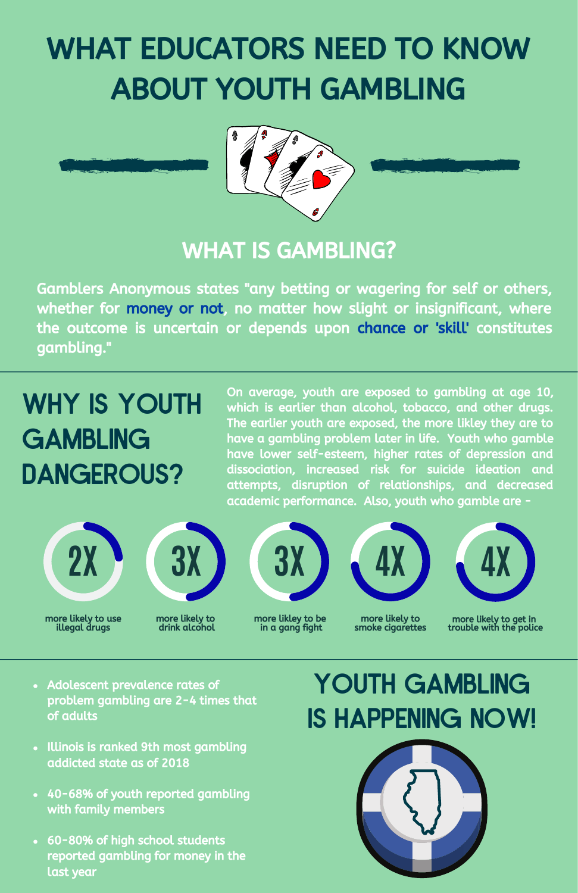# WHAT EDUCATORS NEED TO KNOW ABOUT YOUTH GAMBLING





### WHAT IS GAMBLING?

Gamblers Anonymous states "any betting or wagering for self or others, whether for money or not, no matter how slight or insignificant, where the outcome is uncertain or depends upon chance or 'skill' constitutes gambling."

# WHY IS YOUTH **GAMBLING** DANGEROUS?

On average, youth are exposed to gambling at age 10, which is earlier than alcohol, tobacco, and other drugs. The earlier youth are exposed, the more likley they are to have a gambling problem later in life. Youth who gamble have lower self-esteem, higher rates of depression and dissociation, increased risk for suicide ideation and attempts, disruption of relationships, and decreased academic performance. Also, youth who gamble are -





more likely to use illegal drugs



### more likley to be in a gang fight



more likely to smoke cigarettes

**4X**

more likely to get in trouble with the police

- Adolescent prevalence rates of problem gambling are 2-4 times that of adults
- Illinois is ranked 9th most gambling addicted state as of 2018
- 40-68% of youth reported gambling with family members
- 60-80% of high school students reported gambling for money in the last year

## YOUTH GAMBLING IS HAPPENING NOW!